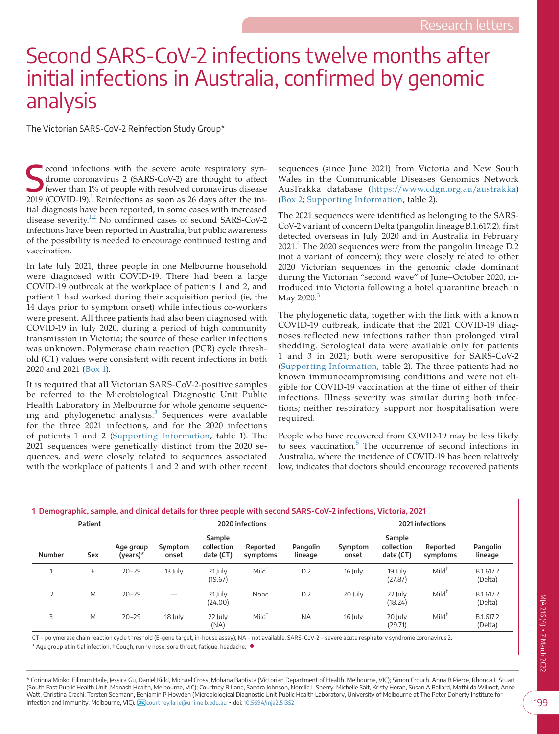## Second SARS-CoV-2 infections twelve months after initial infections in Australia, confirmed by genomic analysis

The Victorian SARS-CoV-2 Reinfection Study Group\*

**S** econd infections with the severe acute respiratory syndrome coronavirus 2 (SARS-CoV-2) are thought to affect fewer than 1% of people with resolved coronavirus disease 2019 (COVID-19).<sup>1</sup> Reinfections as soon as 26 days econd infections with the severe acute respiratory syndrome coronavirus 2 (SARS-CoV-2) are thought to affect fewer than 1% of people with resolved coronavirus disease tial diagnosis have been reported, in some cases with increased disease severity[.1,2](#page-2-0) No confirmed cases of second SARS-CoV-2 infections have been reported in Australia, but public awareness of the possibility is needed to encourage continued testing and vaccination.

In late July 2021, three people in one Melbourne household were diagnosed with COVID-19. There had been a large COVID-19 outbreak at the workplace of patients 1 and 2, and patient 1 had worked during their acquisition period (ie, the 14 days prior to symptom onset) while infectious co-workers were present. All three patients had also been diagnosed with COVID-19 in July 2020, during a period of high community transmission in Victoria; the source of these earlier infections was unknown. Polymerase chain reaction (PCR) cycle threshold (CT) values were consistent with recent infections in both 2020 and 2021 ([Box 1\)](#page-0-0).

It is required that all Victorian SARS-CoV-2-positive samples be referred to the Microbiological Diagnostic Unit Public Health Laboratory in Melbourne for whole genome sequenc-ing and phylogenetic analysis.<sup>[3](#page-2-1)</sup> Sequences were available for the three 2021 infections, and for the 2020 infections of patients 1 and 2 [\(Supporting Information,](#page-2-2) table 1). The 2021 sequences were genetically distinct from the 2020 sequences, and were closely related to sequences associated with the workplace of patients 1 and 2 and with other recent

sequences (since June 2021) from Victoria and New South Wales in the Communicable Diseases Genomics Network AusTrakka database ([https://www.cdgn.org.au/austrakka\)](https://www.cdgn.org.au/austrakka) ([Box 2](#page-1-0); [Supporting Information](#page-2-2), table 2).

The 2021 sequences were identified as belonging to the SARS-CoV-2 variant of concern Delta (pangolin lineage B.1.617.2), first detected overseas in July 2020 and in Australia in February  $2021<sup>4</sup>$  The 2020 sequences were from the pangolin lineage D.2 (not a variant of concern); they were closely related to other 2020 Victorian sequences in the genomic clade dominant during the Victorian "second wave" of June–October 2020, introduced into Victoria following a hotel quarantine breach in May 2020.<sup>[3](#page-2-1)</sup>

The phylogenetic data, together with the link with a known COVID-19 outbreak, indicate that the 2021 COVID-19 diagnoses reflected new infections rather than prolonged viral shedding. Serological data were available only for patients 1 and 3 in 2021; both were seropositive for SARS-CoV-2 [\(Supporting Information,](#page-2-2) table 2). The three patients had no known immunocompromising conditions and were not eligible for COVID-19 vaccination at the time of either of their infections. Illness severity was similar during both infections; neither respiratory support nor hospitalisation were required.

People who have recovered from COVID-19 may be less likely to seek vaccination.<sup>[5](#page-2-4)</sup> The occurrence of second infections in Australia, where the incidence of COVID-19 has been relatively low, indicates that doctors should encourage recovered patients

<span id="page-0-0"></span>

| Patient        |     |                          | 2020 infections  |                                   |                      |                     | 2021 infections  |                                   |                      |                      |
|----------------|-----|--------------------------|------------------|-----------------------------------|----------------------|---------------------|------------------|-----------------------------------|----------------------|----------------------|
| <b>Number</b>  | Sex | Age group<br>(years) $*$ | Symptom<br>onset | Sample<br>collection<br>date (CT) | Reported<br>symptoms | Pangolin<br>lineage | Symptom<br>onset | Sample<br>collection<br>date (CT) | Reported<br>symptoms | Pangolin<br>lineage  |
|                | F   | $20 - 29$                | 13 July          | $21$ July<br>(19.67)              | $Mid^{\dagger}$      | D.2                 | 16 July          | 19 July<br>(27.87)                | $Mid^{\dagger}$      | B.1.617.2<br>(Delta) |
| $\overline{2}$ | M   | $20 - 29$                | —                | 21 July<br>(24.00)                | None                 | D.2                 | 20 July          | 22 July<br>(18.24)                | $Mild^{\dagger}$     | B.1.617.2<br>(Delta) |
| 3              | M   | $20 - 29$                | 18 July          | 22 July<br>(NA)                   | $Mid^{\dagger}$      | <b>NA</b>           | 16 July          | 20 July<br>(29.71)                | $Mid^{\dagger}$      | B.1.617.2<br>(Delta) |

CT = polymerase chain reaction cycle threshold (E-gene target, in-house assay); NA = not available; SARS-CoV-2 = severe acute respiratory syndrome coronavirus 2.  $^{\circ}$  Age group at initial infection. † Cough, runny nose, sore throat, fatigue, headache.  $\blacklozenge$ 

\* Corinna Minko, Filimon Haile, Jessica Gu, Daniel Kidd, Michael Cross, Mohana Baptista (Victorian Department of Health, Melbourne, VIC); Simon Crouch, Anna B Pierce, Rhonda L Stuart (South East Public Health Unit, Monash Health, Melbourne, VIC); Courtney R Lane, Sandra Johnson, Norelle L Sherry, Michelle Sait, Kristy Horan, Susan A Ballard, Mathilda Wilmot, Anne Watt, Christina Crachi, Torsten Seemann, Benjamin P Howden (Microbiological Diagnostic Unit Public Health Laboratory, University of Melbourne at The Peter Doherty Institute for Infection and Immunity, Melbourne, VIC). [X] [courtney.lane@unimelb.edu.au](mailto:﻿﻿courtney.lane@unimelb.edu.au﻿﻿) • doi: [10.5694/mja2.51352](https://doi.org/10.5694/mja2.51352)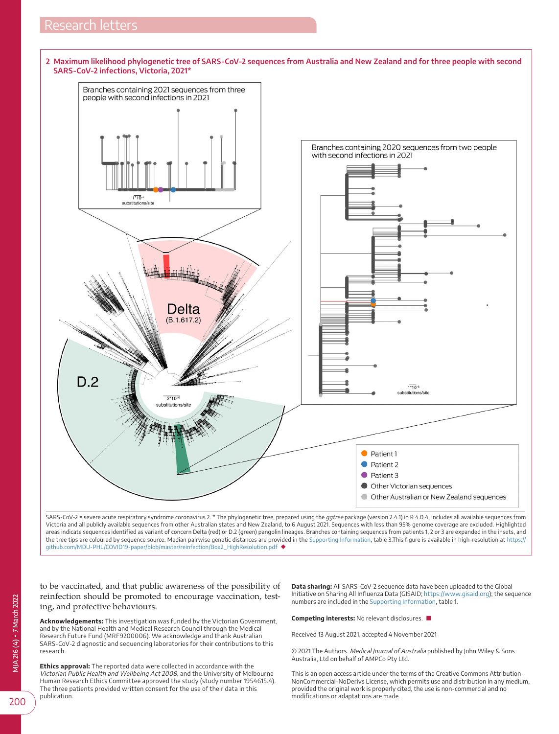## <span id="page-1-0"></span>**2 Maximum likelihood phylogenetic tree of SARS-CoV-2 sequences from Australia and New Zealand and for three people with second SARS-CoV-2 infections, Victoria, 2021\***



SARS-CoV-2 = severe acute respiratory syndrome coronavirus 2. \* The phylogenetic tree, prepared using the ggtree package (version 2.4.1) in R 4.0.4, Includes all available sequences from Victoria and all publicly available sequences from other Australian states and New Zealand, to 6 August 2021. Sequences with less than 95% genome coverage are excluded. Highlighted areas indicate sequences identified as variant of concern Delta (red) or D.2 (green) pangolin lineages. Branches containing sequences from patients 1, 2 or 3 are expanded in the insets, and the tree tips are coloured by sequence source. Median pairwise genetic distances are provided in the [Supporting Information](#page-2-2), table 3.This figure is available in high-resolution at [https://](https://github.com/MDU-PHL/COVID19-paper/blob/master/reinfection/Box2_HighResolution.pdf) [github.com/MDU-PHL/COVID19-paper/blob/master/reinfection/Box2\\_HighResolution.pdf](https://github.com/MDU-PHL/COVID19-paper/blob/master/reinfection/Box2_HighResolution.pdf) ◆

to be vaccinated, and that public awareness of the possibility of reinfection should be promoted to encourage vaccination, testing, and protective behaviours.

**Acknowledgements:** This investigation was funded by the Victorian Government, and by the National Health and Medical Research Council through the Medical Research Future Fund (MRF9200006). We acknowledge and thank Australian SARS-CoV-2 diagnostic and sequencing laboratories for their contributions to this research.

**Ethics approval:** The reported data were collected in accordance with the Victorian Public Health and Wellbeing Act 2008, and the University of Melbourne Human Research Ethics Committee approved the study (study number 1954615.4). The three patients provided written consent for the use of their data in this publication.

**Data sharing:** All SARS-CoV-2 sequence data have been uploaded to the Global Initiative on Sharing All Influenza Data (GISAID; <https://www.gisaid.org>); the sequence numbers are included in the [Supporting Information](#page-2-2), table 1.

**Competing interests:** No relevant disclosures. ■

Received 13 August 2021, accepted 4 November 2021

© 2021 The Authors. Medical Journal of Australia published by John Wiley & Sons Australia, Ltd on behalf of AMPCo Pty Ltd.

This is an open access article under the terms of the Creative Commons Attribution-NonCommercial-NoDerivs License, which permits use and distribution in any medium, provided the original work is properly cited, the use is non-commercial and no modifications or adaptations are made.